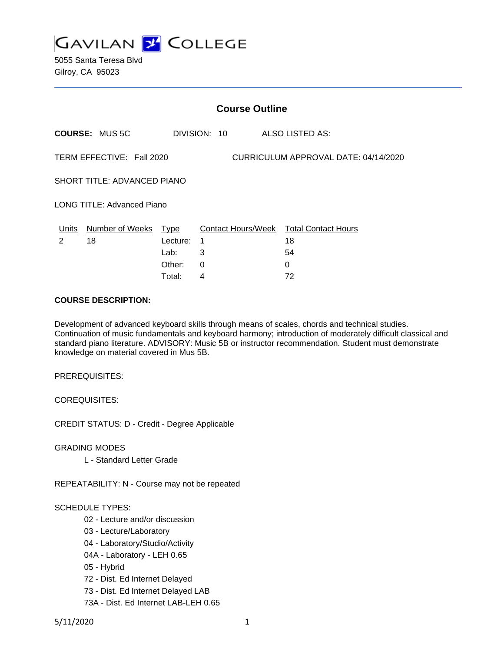

5055 Santa Teresa Blvd Gilroy, CA 95023

|                                                                   | <b>Course Outline</b> |          |              |                                        |  |  |
|-------------------------------------------------------------------|-----------------------|----------|--------------|----------------------------------------|--|--|
|                                                                   | <b>COURSE: MUS5C</b>  |          | DIVISION: 10 | ALSO LISTED AS:                        |  |  |
| CURRICULUM APPROVAL DATE: 04/14/2020<br>TERM EFFECTIVE: Fall 2020 |                       |          |              |                                        |  |  |
| <b>SHORT TITLE: ADVANCED PIANO</b>                                |                       |          |              |                                        |  |  |
| <b>LONG TITLE: Advanced Piano</b>                                 |                       |          |              |                                        |  |  |
| Units                                                             | Number of Weeks Type  |          |              | Contact Hours/Week Total Contact Hours |  |  |
| $\mathcal{P}$                                                     | 18                    | Lecture: | 1            | 18                                     |  |  |
|                                                                   |                       | Lab:     | 3            | 54                                     |  |  |
|                                                                   |                       | Other:   | $\Omega$     | $\Omega$                               |  |  |
|                                                                   |                       | Total:   | 4            | 72                                     |  |  |

#### **COURSE DESCRIPTION:**

Development of advanced keyboard skills through means of scales, chords and technical studies. Continuation of music fundamentals and keyboard harmony; introduction of moderately difficult classical and standard piano literature. ADVISORY: Music 5B or instructor recommendation. Student must demonstrate knowledge on material covered in Mus 5B.

PREREQUISITES:

COREQUISITES:

CREDIT STATUS: D - Credit - Degree Applicable

GRADING MODES

L - Standard Letter Grade

REPEATABILITY: N - Course may not be repeated

#### SCHEDULE TYPES:

- 02 Lecture and/or discussion
- 03 Lecture/Laboratory
- 04 Laboratory/Studio/Activity
- 04A Laboratory LEH 0.65
- 05 Hybrid
- 72 Dist. Ed Internet Delayed
- 73 Dist. Ed Internet Delayed LAB
- 73A Dist. Ed Internet LAB-LEH 0.65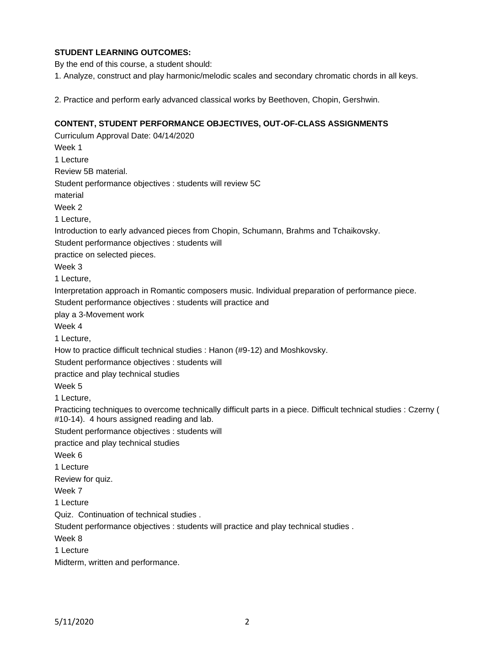# **STUDENT LEARNING OUTCOMES:**

By the end of this course, a student should:

1. Analyze, construct and play harmonic/melodic scales and secondary chromatic chords in all keys.

2. Practice and perform early advanced classical works by Beethoven, Chopin, Gershwin.

### **CONTENT, STUDENT PERFORMANCE OBJECTIVES, OUT-OF-CLASS ASSIGNMENTS**

Curriculum Approval Date: 04/14/2020 Week 1 1 Lecture Review 5B material. Student performance objectives : students will review 5C material Week 2 1 Lecture, Introduction to early advanced pieces from Chopin, Schumann, Brahms and Tchaikovsky. Student performance objectives : students will practice on selected pieces. Week 3 1 Lecture, Interpretation approach in Romantic composers music. Individual preparation of performance piece. Student performance objectives : students will practice and play a 3-Movement work Week 4 1 Lecture, How to practice difficult technical studies : Hanon (#9-12) and Moshkovsky. Student performance objectives : students will practice and play technical studies Week 5 1 Lecture, Practicing techniques to overcome technically difficult parts in a piece. Difficult technical studies : Czerny ( #10-14). 4 hours assigned reading and lab. Student performance objectives : students will practice and play technical studies Week 6 1 Lecture Review for quiz. Week 7 1 Lecture Quiz. Continuation of technical studies . Student performance objectives : students will practice and play technical studies . Week 8 1 Lecture Midterm, written and performance.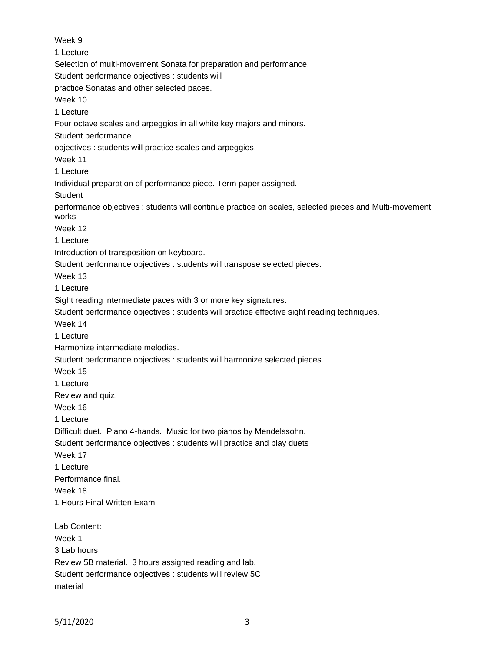Week 9 1 Lecture, Selection of multi-movement Sonata for preparation and performance. Student performance objectives : students will practice Sonatas and other selected paces. Week 10 1 Lecture, Four octave scales and arpeggios in all white key majors and minors. Student performance objectives : students will practice scales and arpeggios. Week 11 1 Lecture, Individual preparation of performance piece. Term paper assigned. **Student** performance objectives : students will continue practice on scales, selected pieces and Multi-movement works Week 12 1 Lecture, Introduction of transposition on keyboard. Student performance objectives : students will transpose selected pieces. Week 13 1 Lecture, Sight reading intermediate paces with 3 or more key signatures. Student performance objectives : students will practice effective sight reading techniques. Week 14 1 Lecture, Harmonize intermediate melodies. Student performance objectives : students will harmonize selected pieces. Week 15 1 Lecture, Review and quiz. Week 16 1 Lecture, Difficult duet. Piano 4-hands. Music for two pianos by Mendelssohn. Student performance objectives : students will practice and play duets Week 17 1 Lecture, Performance final. Week 18 1 Hours Final Written Exam Lab Content: Week 1 3 Lab hours Review 5B material. 3 hours assigned reading and lab. Student performance objectives : students will review 5C material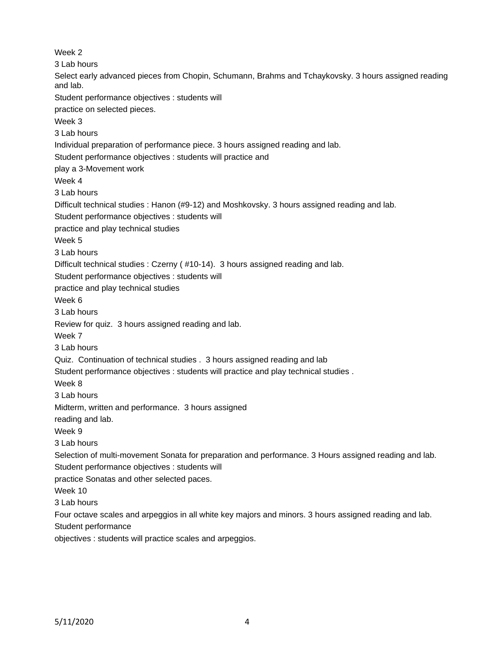Week 2 3 Lab hours Select early advanced pieces from Chopin, Schumann, Brahms and Tchaykovsky. 3 hours assigned reading and lab. Student performance objectives : students will practice on selected pieces. Week 3 3 Lab hours Individual preparation of performance piece. 3 hours assigned reading and lab. Student performance objectives : students will practice and play a 3-Movement work Week 4 3 Lab hours Difficult technical studies : Hanon (#9-12) and Moshkovsky. 3 hours assigned reading and lab. Student performance objectives : students will practice and play technical studies Week 5 3 Lab hours Difficult technical studies : Czerny ( #10-14). 3 hours assigned reading and lab. Student performance objectives : students will practice and play technical studies Week 6 3 Lab hours Review for quiz. 3 hours assigned reading and lab. Week 7 3 Lab hours Quiz. Continuation of technical studies . 3 hours assigned reading and lab Student performance objectives : students will practice and play technical studies . Week 8 3 Lab hours Midterm, written and performance. 3 hours assigned reading and lab. Week 9 3 Lab hours Selection of multi-movement Sonata for preparation and performance. 3 Hours assigned reading and lab. Student performance objectives : students will practice Sonatas and other selected paces. Week 10 3 Lab hours Four octave scales and arpeggios in all white key majors and minors. 3 hours assigned reading and lab. Student performance objectives : students will practice scales and arpeggios.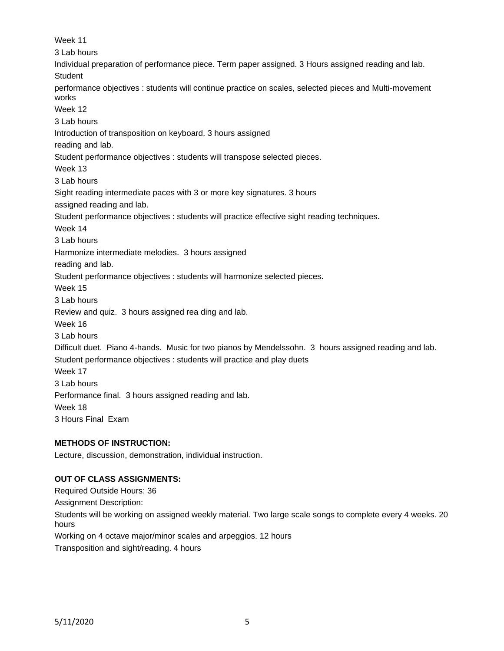Week 11 3 Lab hours Individual preparation of performance piece. Term paper assigned. 3 Hours assigned reading and lab. **Student** performance objectives : students will continue practice on scales, selected pieces and Multi-movement works Week 12 3 Lab hours Introduction of transposition on keyboard. 3 hours assigned reading and lab. Student performance objectives : students will transpose selected pieces. Week 13 3 Lab hours Sight reading intermediate paces with 3 or more key signatures. 3 hours assigned reading and lab. Student performance objectives : students will practice effective sight reading techniques. Week 14 3 Lab hours Harmonize intermediate melodies. 3 hours assigned reading and lab. Student performance objectives : students will harmonize selected pieces. Week 15 3 Lab hours Review and quiz. 3 hours assigned rea ding and lab. Week 16 3 Lab hours Difficult duet. Piano 4-hands. Music for two pianos by Mendelssohn. 3 hours assigned reading and lab. Student performance objectives : students will practice and play duets Week 17 3 Lab hours Performance final. 3 hours assigned reading and lab. Week 18 3 Hours Final Exam

# **METHODS OF INSTRUCTION:**

Lecture, discussion, demonstration, individual instruction.

## **OUT OF CLASS ASSIGNMENTS:**

Required Outside Hours: 36 Assignment Description: Students will be working on assigned weekly material. Two large scale songs to complete every 4 weeks. 20 hours Working on 4 octave major/minor scales and arpeggios. 12 hours Transposition and sight/reading. 4 hours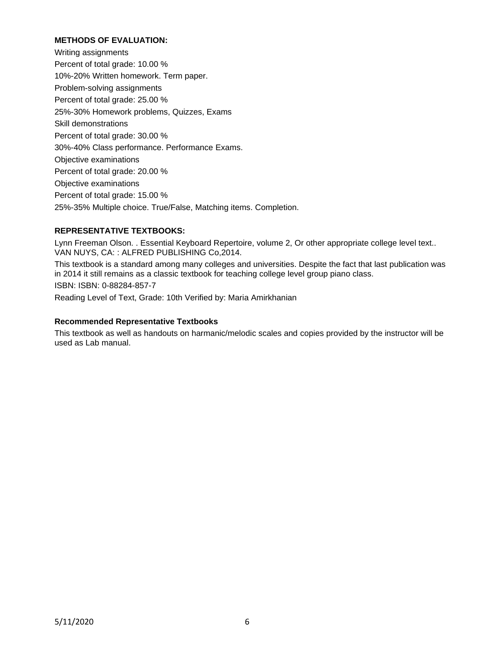### **METHODS OF EVALUATION:**

Writing assignments Percent of total grade: 10.00 % 10%-20% Written homework. Term paper. Problem-solving assignments Percent of total grade: 25.00 % 25%-30% Homework problems, Quizzes, Exams Skill demonstrations Percent of total grade: 30.00 % 30%-40% Class performance. Performance Exams. Objective examinations Percent of total grade: 20.00 % Objective examinations Percent of total grade: 15.00 % 25%-35% Multiple choice. True/False, Matching items. Completion.

# **REPRESENTATIVE TEXTBOOKS:**

Lynn Freeman Olson. . Essential Keyboard Repertoire, volume 2, Or other appropriate college level text.. VAN NUYS, CA: : ALFRED PUBLISHING Co,2014.

This textbook is a standard among many colleges and universities. Despite the fact that last publication was in 2014 it still remains as a classic textbook for teaching college level group piano class.

ISBN: ISBN: 0-88284-857-7

Reading Level of Text, Grade: 10th Verified by: Maria Amirkhanian

### **Recommended Representative Textbooks**

This textbook as well as handouts on harmanic/melodic scales and copies provided by the instructor will be used as Lab manual.